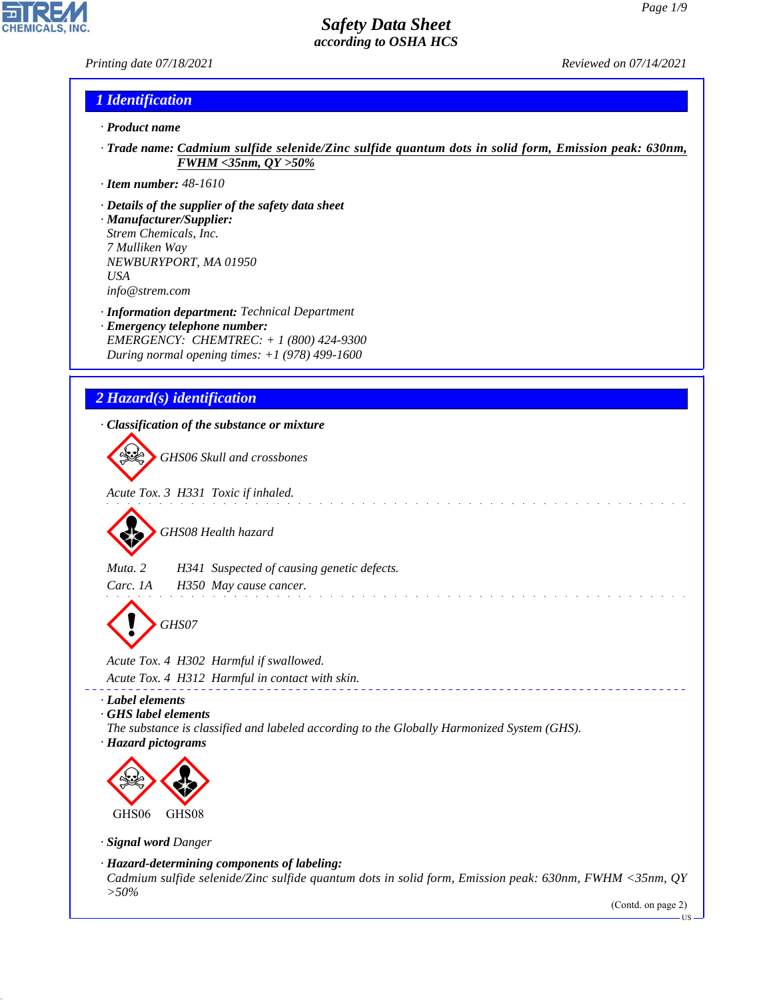*Printing date 07/18/2021 Reviewed on 07/14/2021*

**CHEMICALS** 

## *1 Identification*

- *· Product name*
- *· Trade name: Cadmium sulfide selenide/Zinc sulfide quantum dots in solid form, Emission peak: 630nm, FWHM <35nm, QY >50%*

 $\sim$ 

. . . . . . . . . . . . . . . .

- *· Item number: 48-1610*
- *· Details of the supplier of the safety data sheet*
- *· Manufacturer/Supplier: Strem Chemicals, Inc. 7 Mulliken Way NEWBURYPORT, MA 01950 USA info@strem.com*
- *· Information department: Technical Department · Emergency telephone number: EMERGENCY: CHEMTREC: + 1 (800) 424-9300 During normal opening times: +1 (978) 499-1600*
- *2 Hazard(s) identification*

*· Classification of the substance or mixture*

d~*GHS06 Skull and crossbones*

*Acute Tox. 3 H331 Toxic if inhaled.*



*Muta. 2 H341 Suspected of causing genetic defects.*

*Carc. 1A H350 May cause cancer.*

d~*GHS07*

*Acute Tox. 4 H302 Harmful if swallowed. Acute Tox. 4 H312 Harmful in contact with skin.*

*· Label elements*

*· GHS label elements*

*The substance is classified and labeled according to the Globally Harmonized System (GHS).*

*· Hazard pictograms*



*· Signal word Danger*

44.1.1

*· Hazard-determining components of labeling:*

*Cadmium sulfide selenide/Zinc sulfide quantum dots in solid form, Emission peak: 630nm, FWHM <35nm, QY >50%*

(Contd. on page 2)

US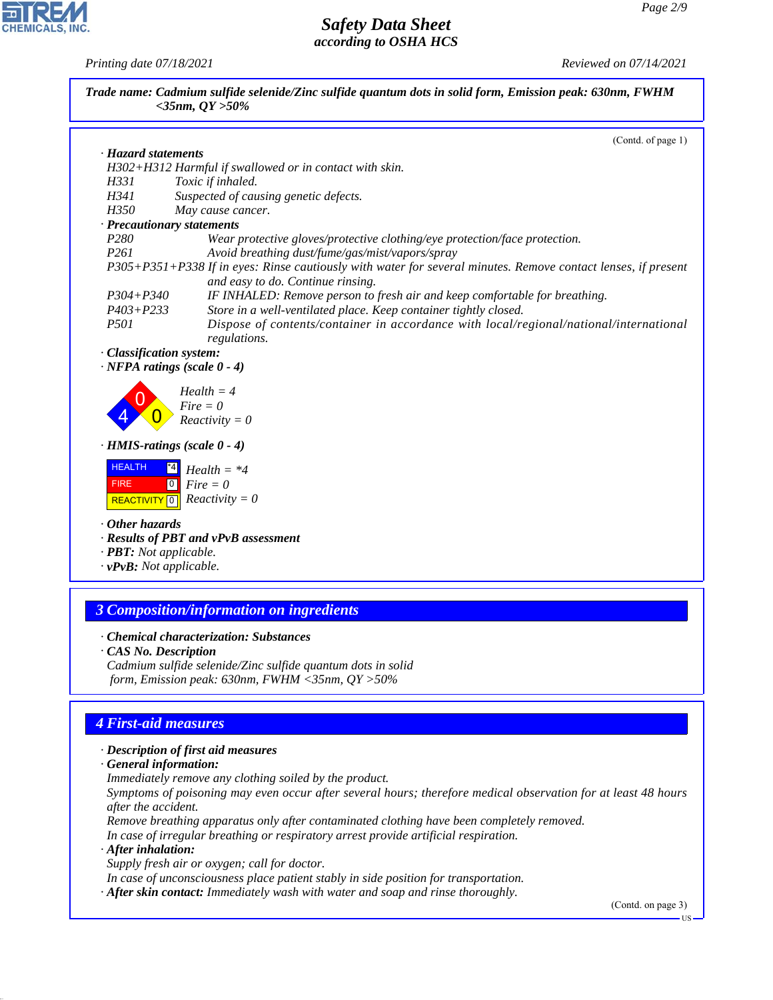*Printing date 07/18/2021 Reviewed on 07/14/2021*

CHEMICALS, INC.

44.1.1

|                                       | Trade name: Cadmium sulfide selenide/Zinc sulfide quantum dots in solid form, Emission peak: 630nm, FWHM<br>$<$ 35nm, QY >50% |  |  |
|---------------------------------------|-------------------------------------------------------------------------------------------------------------------------------|--|--|
|                                       | (Contd. of page 1)                                                                                                            |  |  |
| · Hazard statements                   |                                                                                                                               |  |  |
|                                       | H302+H312 Harmful if swallowed or in contact with skin.                                                                       |  |  |
| H331                                  | Toxic if inhaled.                                                                                                             |  |  |
| H341                                  | Suspected of causing genetic defects.                                                                                         |  |  |
| H350                                  | May cause cancer.                                                                                                             |  |  |
| · Precautionary statements            |                                                                                                                               |  |  |
| P <sub>280</sub>                      | Wear protective gloves/protective clothing/eye protection/face protection.                                                    |  |  |
| P <sub>261</sub>                      | Avoid breathing dust/fume/gas/mist/vapors/spray                                                                               |  |  |
|                                       | P305+P351+P338 If in eyes: Rinse cautiously with water for several minutes. Remove contact lenses, if present                 |  |  |
| $P304 + P340$                         | and easy to do. Continue rinsing.                                                                                             |  |  |
| $P403 + P233$                         | IF INHALED: Remove person to fresh air and keep comfortable for breathing.                                                    |  |  |
| <i>P501</i>                           | Store in a well-ventilated place. Keep container tightly closed.                                                              |  |  |
|                                       | Dispose of contents/container in accordance with local/regional/national/international<br>regulations.                        |  |  |
|                                       |                                                                                                                               |  |  |
| · Classification system:              |                                                                                                                               |  |  |
| $\cdot$ NFPA ratings (scale $0 - 4$ ) |                                                                                                                               |  |  |
|                                       | $Health = 4$                                                                                                                  |  |  |
|                                       | $Fire = 0$                                                                                                                    |  |  |
|                                       | $Reactivity = 0$                                                                                                              |  |  |
|                                       |                                                                                                                               |  |  |
| $\cdot$ HMIS-ratings (scale $0 - 4$ ) |                                                                                                                               |  |  |
| <b>HEALTH</b><br>$^*4$                |                                                                                                                               |  |  |
|                                       | $Health = *4$                                                                                                                 |  |  |
| $\boxed{0}$<br><b>FIRE</b>            | $Fire = 0$                                                                                                                    |  |  |
| <b>REACTIVITY</b> 0                   | $Reactivity = 0$                                                                                                              |  |  |
| Other hazards                         |                                                                                                                               |  |  |
|                                       | · Results of PBT and vPvB assessment                                                                                          |  |  |
| · <b>PBT</b> : Not applicable.        |                                                                                                                               |  |  |
| $\cdot$ vPvB: Not applicable.         |                                                                                                                               |  |  |
|                                       |                                                                                                                               |  |  |
|                                       |                                                                                                                               |  |  |
|                                       | <b>3 Composition/information on ingredients</b>                                                                               |  |  |
|                                       |                                                                                                                               |  |  |
|                                       | • Chemical characterization: Substances                                                                                       |  |  |
| · CAS No. Description                 |                                                                                                                               |  |  |
|                                       | Cadmium sulfide selenide/Zinc sulfide quantum dots in solid                                                                   |  |  |
|                                       | form, Emission peak: 630nm, FWHM <35nm, $QY > 50\%$                                                                           |  |  |
|                                       |                                                                                                                               |  |  |
|                                       |                                                                                                                               |  |  |
| <b>4 First-aid measures</b>           |                                                                                                                               |  |  |
|                                       | · Description of first aid measures                                                                                           |  |  |
| · General information:                |                                                                                                                               |  |  |
|                                       | Immediately remove any clothing soiled by the product.                                                                        |  |  |
|                                       | Symptoms of poisoning may even occur after several hours; therefore medical observation for at least 48 hours                 |  |  |
| after the accident.                   |                                                                                                                               |  |  |
|                                       | Remove breathing apparatus only after contaminated clothing have been completely removed.                                     |  |  |
|                                       | In case of irregular breathing or respiratory arrest provide artificial respiration.                                          |  |  |
| · After inhalation:                   |                                                                                                                               |  |  |
|                                       | Supply fresh air or oxygen; call for doctor.                                                                                  |  |  |
|                                       | In case of unconsciousness place patient stably in side position for transportation.                                          |  |  |
|                                       | · After skin contact: Immediately wash with water and soap and rinse thoroughly.                                              |  |  |
|                                       |                                                                                                                               |  |  |

(Contd. on page 3)

 $\overline{\text{US}}$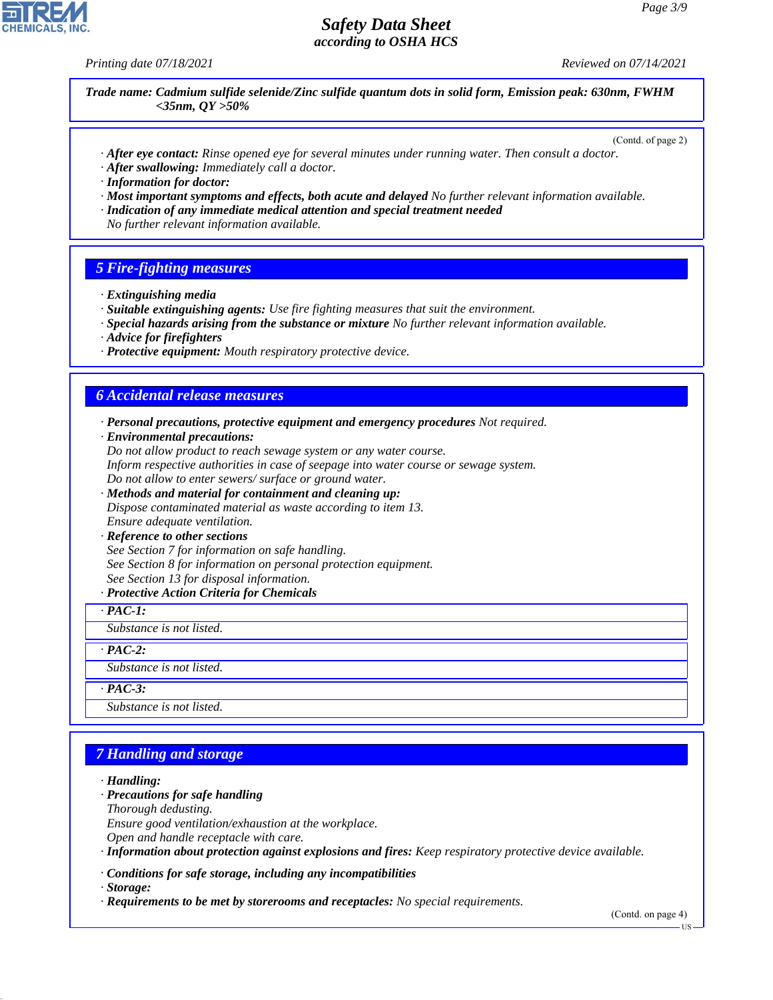*Printing date 07/18/2021 Reviewed on 07/14/2021*

*Trade name: Cadmium sulfide selenide/Zinc sulfide quantum dots in solid form, Emission peak: 630nm, FWHM <35nm, QY >50%*

(Contd. of page 2)

- *· After eye contact: Rinse opened eye for several minutes under running water. Then consult a doctor.*
- *· After swallowing: Immediately call a doctor.*

*· Information for doctor:*

- *· Most important symptoms and effects, both acute and delayed No further relevant information available.*
- *· Indication of any immediate medical attention and special treatment needed*

*No further relevant information available.*

#### *5 Fire-fighting measures*

- *· Extinguishing media*
- *· Suitable extinguishing agents: Use fire fighting measures that suit the environment.*
- *· Special hazards arising from the substance or mixture No further relevant information available.*
- *· Advice for firefighters*
- *· Protective equipment: Mouth respiratory protective device.*

#### *6 Accidental release measures*

- *· Personal precautions, protective equipment and emergency procedures Not required.*
- *· Environmental precautions:*

*Do not allow product to reach sewage system or any water course. Inform respective authorities in case of seepage into water course or sewage system. Do not allow to enter sewers/ surface or ground water.*

*· Methods and material for containment and cleaning up: Dispose contaminated material as waste according to item 13. Ensure adequate ventilation.*

#### *· Reference to other sections*

*See Section 7 for information on safe handling.*

*See Section 8 for information on personal protection equipment.*

*See Section 13 for disposal information.*

#### *· Protective Action Criteria for Chemicals*

*· PAC-1:*

*Substance is not listed.*

*· PAC-2:*

*Substance is not listed.*

*· PAC-3:*

*Substance is not listed.*

### *7 Handling and storage*

#### *· Handling:*

*· Precautions for safe handling*

*Thorough dedusting.*

*Ensure good ventilation/exhaustion at the workplace.*

*Open and handle receptacle with care.*

*· Information about protection against explosions and fires: Keep respiratory protective device available.*

*· Conditions for safe storage, including any incompatibilities*

*· Storage:*

44.1.1

*· Requirements to be met by storerooms and receptacles: No special requirements.*

(Contd. on page 4)



US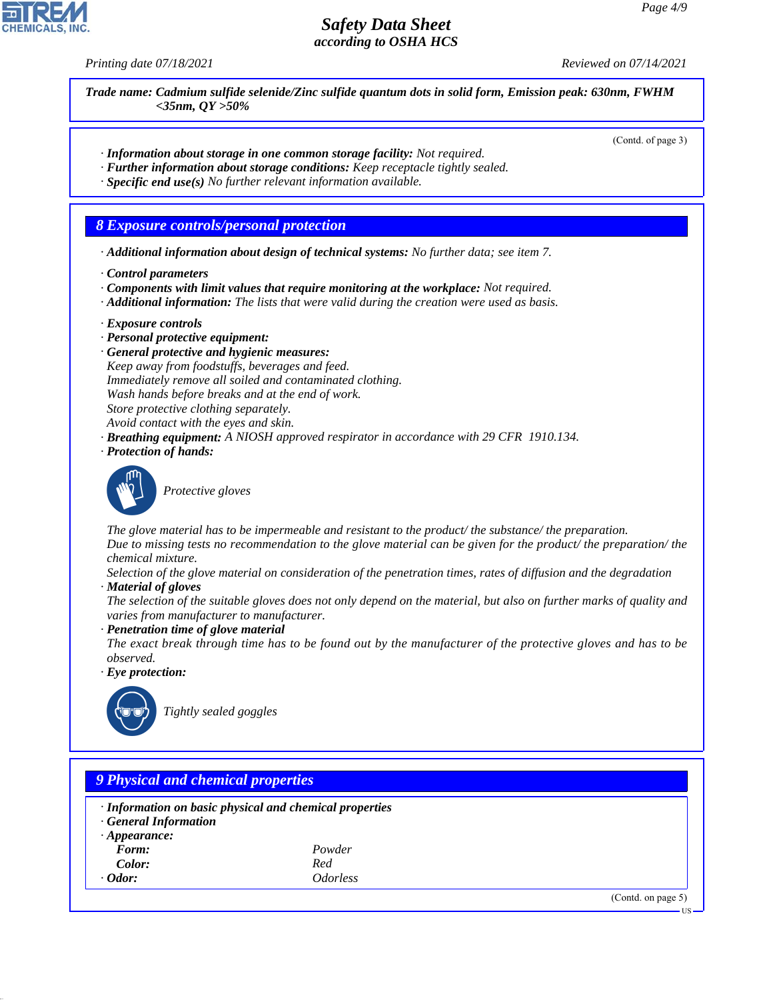*Printing date 07/18/2021 Reviewed on 07/14/2021*

*Trade name: Cadmium sulfide selenide/Zinc sulfide quantum dots in solid form, Emission peak: 630nm, FWHM <35nm, QY >50%*

(Contd. of page 3)

- *· Information about storage in one common storage facility: Not required.*
- *· Further information about storage conditions: Keep receptacle tightly sealed.*
- *· Specific end use(s) No further relevant information available.*

#### *8 Exposure controls/personal protection*

- *· Additional information about design of technical systems: No further data; see item 7.*
- *· Control parameters*
- *· Components with limit values that require monitoring at the workplace: Not required.*
- *· Additional information: The lists that were valid during the creation were used as basis.*
- *· Exposure controls*
- *· Personal protective equipment:*
- *· General protective and hygienic measures: Keep away from foodstuffs, beverages and feed. Immediately remove all soiled and contaminated clothing. Wash hands before breaks and at the end of work. Store protective clothing separately. Avoid contact with the eyes and skin.*
- *· Breathing equipment: A NIOSH approved respirator in accordance with 29 CFR 1910.134.*
- *· Protection of hands:*



\_S*Protective gloves*

*The glove material has to be impermeable and resistant to the product/ the substance/ the preparation. Due to missing tests no recommendation to the glove material can be given for the product/ the preparation/ the chemical mixture.*

*Selection of the glove material on consideration of the penetration times, rates of diffusion and the degradation · Material of gloves*

*The selection of the suitable gloves does not only depend on the material, but also on further marks of quality and varies from manufacturer to manufacturer.*

*· Penetration time of glove material*

*The exact break through time has to be found out by the manufacturer of the protective gloves and has to be observed.*

*· Eye protection:*



44.1.1

\_R*Tightly sealed goggles*

|                       | $\cdot$ Information on basic physical and chemical properties |  |
|-----------------------|---------------------------------------------------------------|--|
| · General Information |                                                               |  |
| $\cdot$ Appearance:   |                                                               |  |
| Form:                 | Powder                                                        |  |
| Color:                | Red                                                           |  |
| $\cdot$ Odor:         | <i><u><b>Odorless</b></u></i>                                 |  |

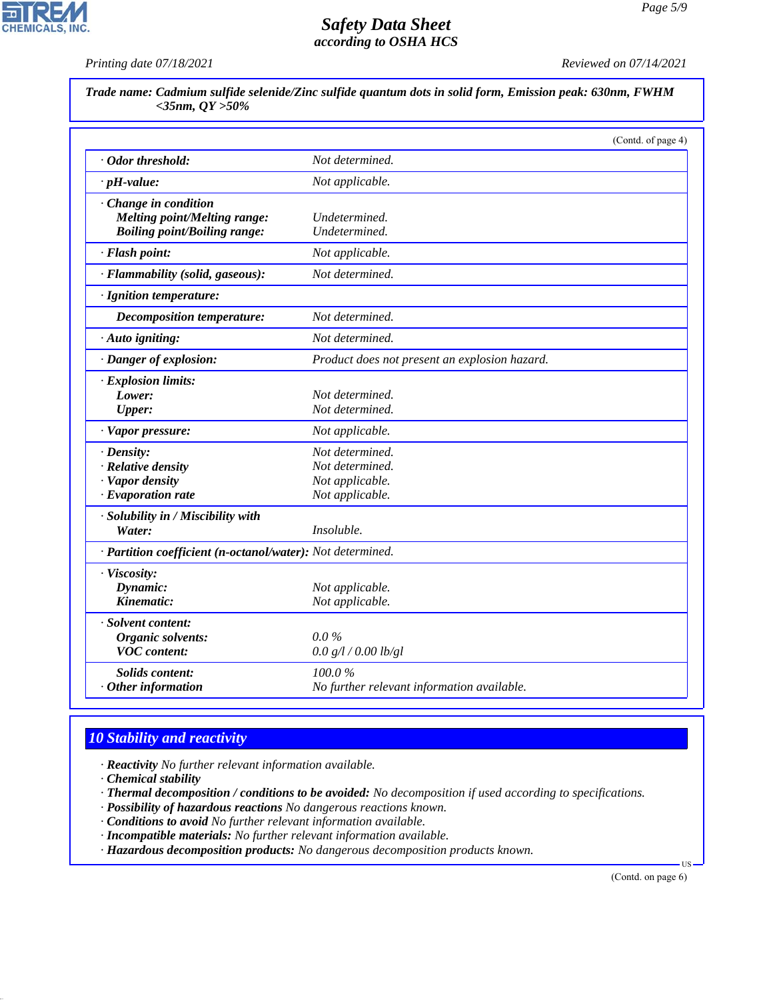**CHEMICALS, INC.** 

*Printing date 07/18/2021 Reviewed on 07/14/2021*

| Trade name: Cadmium sulfide selenide/Zinc sulfide quantum dots in solid form, Emission peak: 630nm, FWHM |  |
|----------------------------------------------------------------------------------------------------------|--|
| $<$ 35nm, QY >50%                                                                                        |  |

|                                                            | (Contd. of page 4)                            |  |
|------------------------------------------------------------|-----------------------------------------------|--|
| · Odor threshold:                                          | Not determined.                               |  |
| $\cdot$ pH-value:                                          | Not applicable.                               |  |
| Change in condition                                        |                                               |  |
| <b>Melting point/Melting range:</b>                        | Undetermined.                                 |  |
| <b>Boiling point/Boiling range:</b>                        | Undetermined.                                 |  |
| · Flash point:                                             | Not applicable.                               |  |
| · Flammability (solid, gaseous):                           | Not determined.                               |  |
| · Ignition temperature:                                    |                                               |  |
| Decomposition temperature:                                 | Not determined.                               |  |
| · Auto igniting:                                           | Not determined.                               |  |
| · Danger of explosion:                                     | Product does not present an explosion hazard. |  |
| · Explosion limits:                                        |                                               |  |
| Lower:                                                     | Not determined.                               |  |
| Upper:                                                     | Not determined.                               |  |
| · Vapor pressure:                                          | Not applicable.                               |  |
| $\cdot$ Density:                                           | Not determined.                               |  |
| · Relative density                                         | Not determined.                               |  |
| · Vapor density                                            | Not applicable.                               |  |
| · Evaporation rate                                         | Not applicable.                               |  |
| · Solubility in / Miscibility with                         |                                               |  |
| Water:                                                     | Insoluble.                                    |  |
| · Partition coefficient (n-octanol/water): Not determined. |                                               |  |
| · Viscosity:                                               |                                               |  |
| Dynamic:                                                   | Not applicable.                               |  |
| Kinematic:                                                 | Not applicable.                               |  |
| · Solvent content:                                         |                                               |  |
| Organic solvents:                                          | $0.0\%$                                       |  |
| <b>VOC</b> content:                                        | 0.0 g/l / 0.00 lb/gl                          |  |
| <b>Solids content:</b>                                     | 100.0%                                        |  |
| $·$ Other information                                      | No further relevant information available.    |  |

# *10 Stability and reactivity*

- *· Reactivity No further relevant information available.*
- *· Chemical stability*

44.1.1

- *· Thermal decomposition / conditions to be avoided: No decomposition if used according to specifications.*
- *· Possibility of hazardous reactions No dangerous reactions known.*
- *· Conditions to avoid No further relevant information available.*
- *· Incompatible materials: No further relevant information available.*
- *· Hazardous decomposition products: No dangerous decomposition products known.*

(Contd. on page 6)

US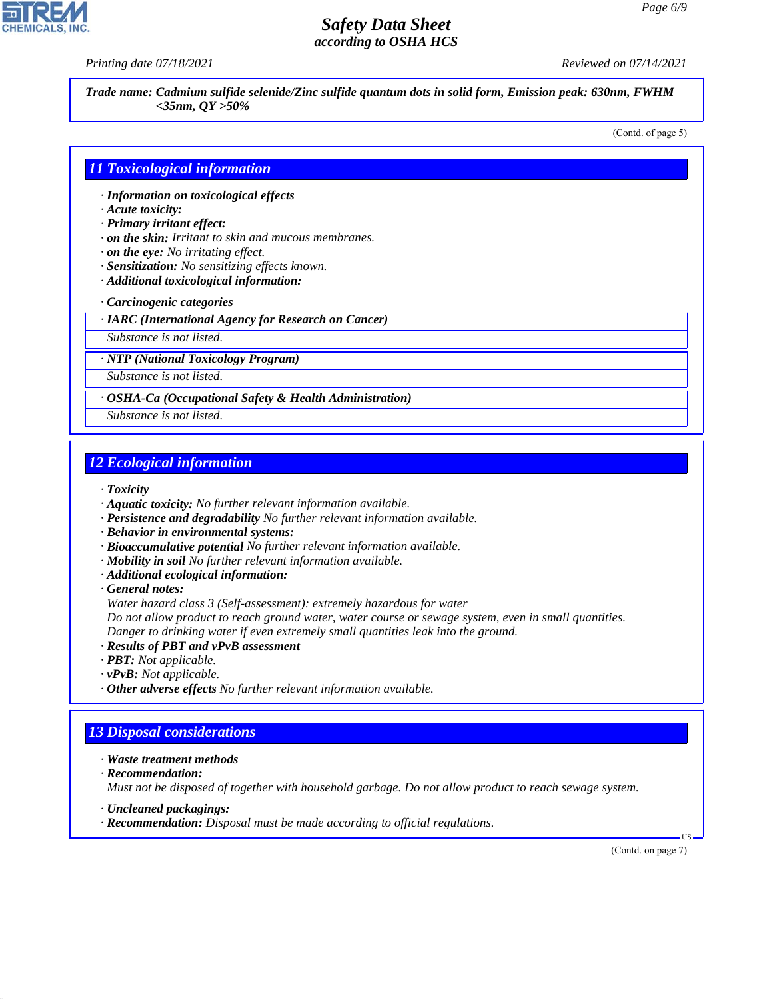*Printing date 07/18/2021 Reviewed on 07/14/2021*

*Trade name: Cadmium sulfide selenide/Zinc sulfide quantum dots in solid form, Emission peak: 630nm, FWHM <35nm, QY >50%*

(Contd. of page 5)

### *11 Toxicological information*

*· Information on toxicological effects*

*· Acute toxicity:*

*· Primary irritant effect:*

*· on the skin: Irritant to skin and mucous membranes.*

*· on the eye: No irritating effect.*

- *· Sensitization: No sensitizing effects known.*
- *· Additional toxicological information:*

*· Carcinogenic categories*

*· IARC (International Agency for Research on Cancer)*

*Substance is not listed.*

*· NTP (National Toxicology Program)*

*Substance is not listed.*

*· OSHA-Ca (Occupational Safety & Health Administration)*

*Substance is not listed.*

# *12 Ecological information*

*· Toxicity*

- *· Aquatic toxicity: No further relevant information available.*
- *· Persistence and degradability No further relevant information available.*
- *· Behavior in environmental systems:*
- *· Bioaccumulative potential No further relevant information available.*
- *· Mobility in soil No further relevant information available.*
- *· Additional ecological information:*

*· General notes:*

*Water hazard class 3 (Self-assessment): extremely hazardous for water*

*Do not allow product to reach ground water, water course or sewage system, even in small quantities.*

*Danger to drinking water if even extremely small quantities leak into the ground.*

- *· Results of PBT and vPvB assessment*
- *· PBT: Not applicable.*
- *· vPvB: Not applicable.*
- *· Other adverse effects No further relevant information available.*

## *13 Disposal considerations*

*· Waste treatment methods*

*· Recommendation:*

44.1.1

*Must not be disposed of together with household garbage. Do not allow product to reach sewage system.*

*· Uncleaned packagings:*

*· Recommendation: Disposal must be made according to official regulations.*

(Contd. on page 7)

US

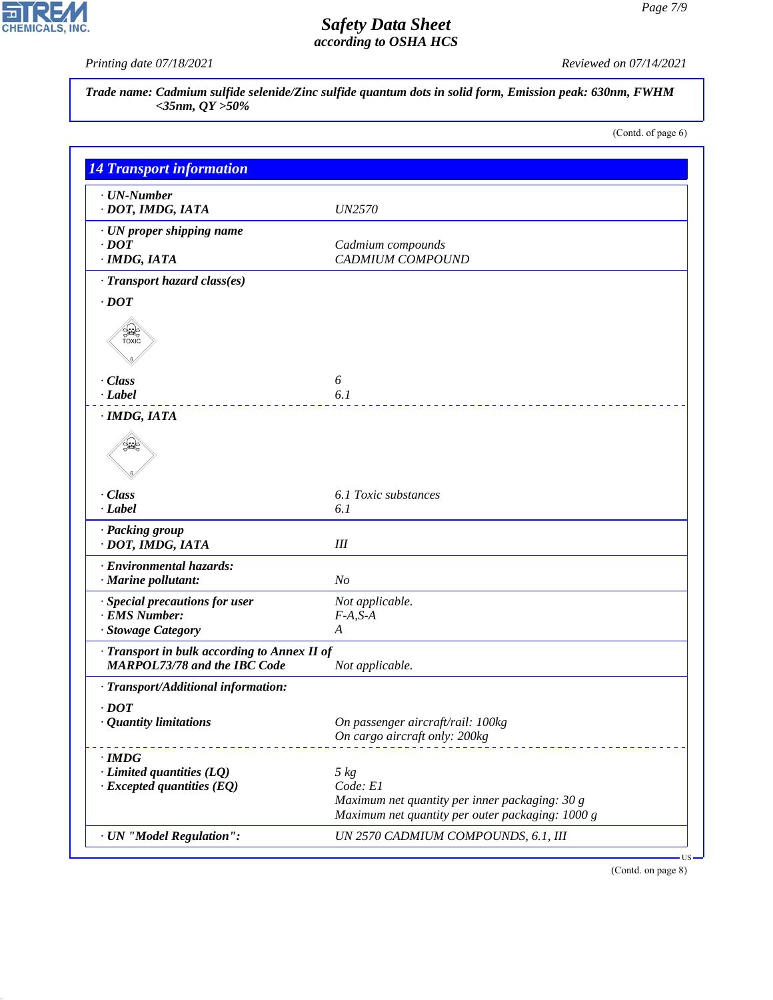CHEMICALS, INC.

44.1.1

*Printing date 07/18/2021 Reviewed on 07/14/2021*

*Trade name: Cadmium sulfide selenide/Zinc sulfide quantum dots in solid form, Emission peak: 630nm, FWHM <35nm, QY >50%*

(Contd. of page 6)

| · UN-Number                                |                                                  |
|--------------------------------------------|--------------------------------------------------|
| · DOT, IMDG, IATA                          | <b>UN2570</b>                                    |
| · UN proper shipping name                  |                                                  |
| $\cdot$ DOT                                | Cadmium compounds                                |
| · IMDG, IATA                               | CADMIUM COMPOUND                                 |
| · Transport hazard class(es)               |                                                  |
| $\cdot$ <i>DOT</i>                         |                                                  |
| SEEP<br>TOXIC                              |                                                  |
| · Class                                    | 6                                                |
| · Label                                    | 6.1                                              |
| · IMDG, IATA                               |                                                  |
| ≫                                          |                                                  |
| · Class                                    | 6.1 Toxic substances                             |
| · Label                                    | 6.1                                              |
| · Packing group<br>· DOT, IMDG, IATA       | III                                              |
| · Environmental hazards:                   |                                                  |
| · Marine pollutant:                        | N <sub>O</sub>                                   |
| · Special precautions for user             | Not applicable.                                  |
| · EMS Number:                              | $F-A, S-A$                                       |
| · Stowage Category                         | $\boldsymbol{A}$                                 |
| Transport in bulk according to Annex II of |                                                  |
| <b>MARPOL73/78 and the IBC Code</b>        | Not applicable.                                  |
| · Transport/Additional information:        |                                                  |
| $\cdot$ DOT                                |                                                  |
| <b>Quantity limitations</b>                | On passenger aircraft/rail: 100kg                |
|                                            | On cargo aircraft only: 200kg                    |
| $\cdot$ IMDG                               |                                                  |
| $\cdot$ Limited quantities (LQ)            | $5 \ kg$                                         |
| $\cdot$ Excepted quantities (EQ)           | Code: E1                                         |
|                                            | Maximum net quantity per inner packaging: 30 g   |
|                                            | Maximum net quantity per outer packaging: 1000 g |
|                                            |                                                  |

(Contd. on page 8)

US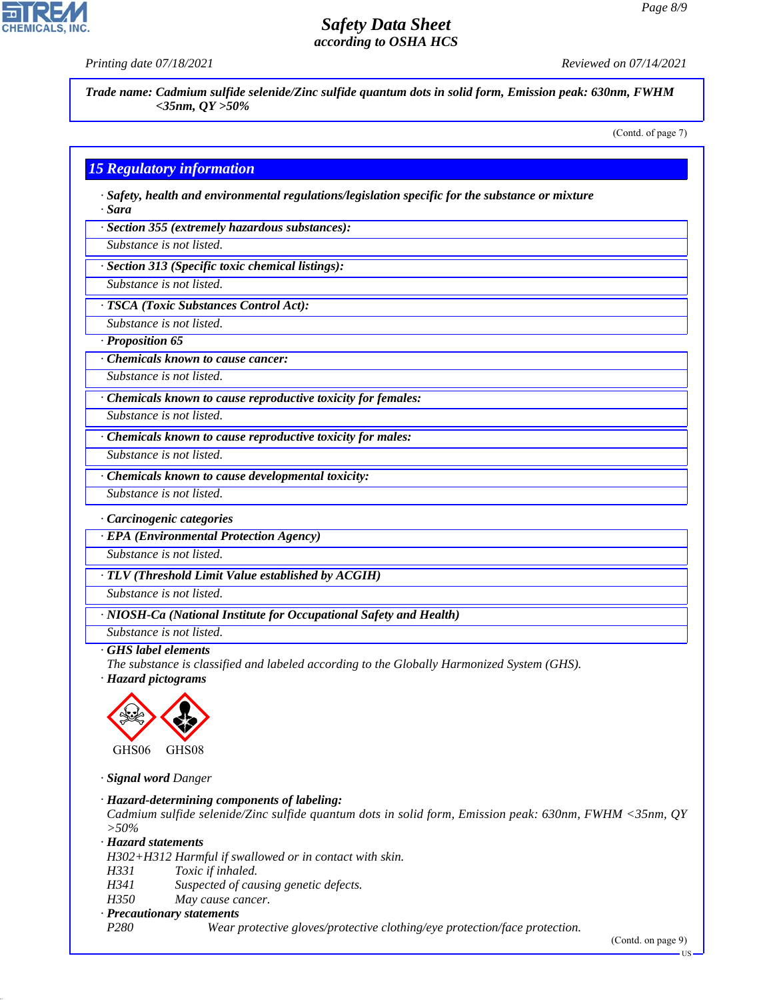# **CHEMICALS**

# *Safety Data Sheet according to OSHA HCS*

*Printing date 07/18/2021 Reviewed on 07/14/2021*

*Trade name: Cadmium sulfide selenide/Zinc sulfide quantum dots in solid form, Emission peak: 630nm, FWHM <35nm, QY >50%*

(Contd. of page 7)

# *15 Regulatory information*

*· Safety, health and environmental regulations/legislation specific for the substance or mixture · Sara*

*· Section 355 (extremely hazardous substances):*

*Substance is not listed.*

*· Section 313 (Specific toxic chemical listings):*

*Substance is not listed.*

*· TSCA (Toxic Substances Control Act):*

- *Substance is not listed.*
- *· Proposition 65*

*· Chemicals known to cause cancer:*

*Substance is not listed.*

*· Chemicals known to cause reproductive toxicity for females:*

*Substance is not listed.*

*· Chemicals known to cause reproductive toxicity for males:*

*· Chemicals known to cause developmental toxicity:*

*Substance is not listed.*

*Substance is not listed.*

*· Carcinogenic categories*

*· EPA (Environmental Protection Agency)*

*Substance is not listed.*

*· TLV (Threshold Limit Value established by ACGIH)*

*Substance is not listed.*

*· NIOSH-Ca (National Institute for Occupational Safety and Health)*

*Substance is not listed.*

#### *· GHS label elements*

*The substance is classified and labeled according to the Globally Harmonized System (GHS).*

*· Hazard pictograms*



*· Signal word Danger*

*· Hazard-determining components of labeling:*

*Cadmium sulfide selenide/Zinc sulfide quantum dots in solid form, Emission peak: 630nm, FWHM <35nm, QY >50%*

*· Hazard statements*

44.1.1

*H302+H312 Harmful if swallowed or in contact with skin.*

*H331 Toxic if inhaled.*

*H341 Suspected of causing genetic defects.*

*H350 May cause cancer.*

*· Precautionary statements*

*P280 Wear protective gloves/protective clothing/eye protection/face protection.*

(Contd. on page 9)

US